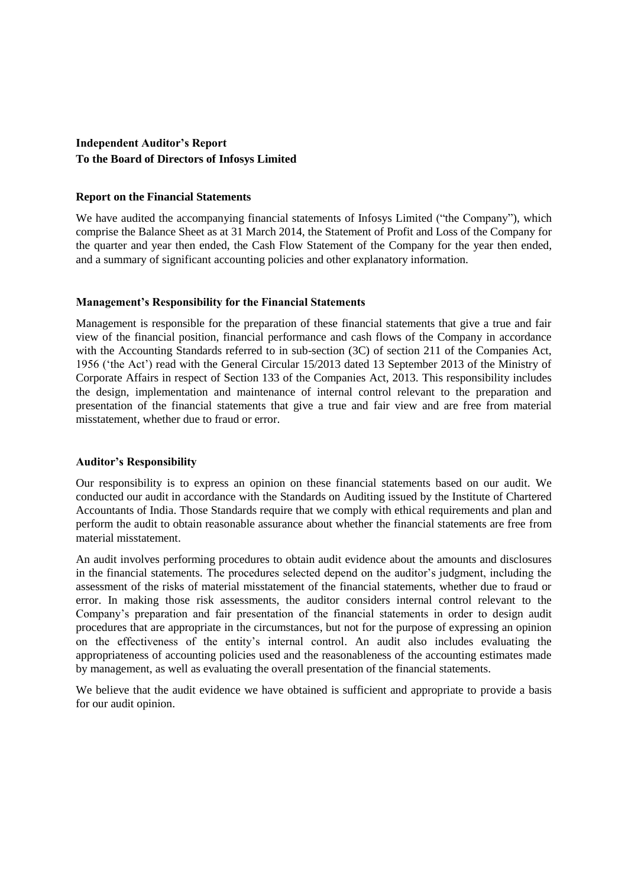# **Independent Auditor's Report To the Board of Directors of Infosys Limited**

### **Report on the Financial Statements**

We have audited the accompanying financial statements of Infosys Limited ("the Company"), which comprise the Balance Sheet as at 31 March 2014, the Statement of Profit and Loss of the Company for the quarter and year then ended, the Cash Flow Statement of the Company for the year then ended, and a summary of significant accounting policies and other explanatory information.

## **Management's Responsibility for the Financial Statements**

Management is responsible for the preparation of these financial statements that give a true and fair view of the financial position, financial performance and cash flows of the Company in accordance with the Accounting Standards referred to in sub-section (3C) of section 211 of the Companies Act, 1956 ("the Act") read with the General Circular 15/2013 dated 13 September 2013 of the Ministry of Corporate Affairs in respect of Section 133 of the Companies Act, 2013. This responsibility includes the design, implementation and maintenance of internal control relevant to the preparation and presentation of the financial statements that give a true and fair view and are free from material misstatement, whether due to fraud or error.

### **Auditor's Responsibility**

Our responsibility is to express an opinion on these financial statements based on our audit. We conducted our audit in accordance with the Standards on Auditing issued by the Institute of Chartered Accountants of India. Those Standards require that we comply with ethical requirements and plan and perform the audit to obtain reasonable assurance about whether the financial statements are free from material misstatement.

An audit involves performing procedures to obtain audit evidence about the amounts and disclosures in the financial statements. The procedures selected depend on the auditor's judgment, including the assessment of the risks of material misstatement of the financial statements, whether due to fraud or error. In making those risk assessments, the auditor considers internal control relevant to the Company"s preparation and fair presentation of the financial statements in order to design audit procedures that are appropriate in the circumstances, but not for the purpose of expressing an opinion on the effectiveness of the entity"s internal control. An audit also includes evaluating the appropriateness of accounting policies used and the reasonableness of the accounting estimates made by management, as well as evaluating the overall presentation of the financial statements.

We believe that the audit evidence we have obtained is sufficient and appropriate to provide a basis for our audit opinion.